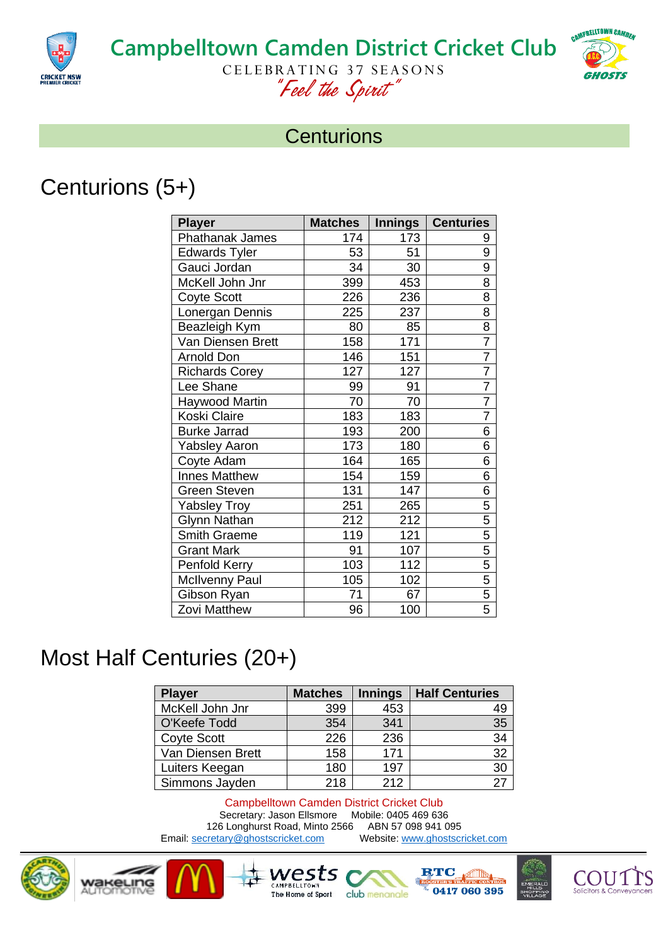

# **Campbelltown Camden District Cricket Club**



CELEBRATING 37 SEASONS *"Feel the Spirit"*

#### **Centurions**

## Centurions (5+)

| <b>Player</b>          | <b>Matches</b> | <b>Innings</b> | <b>Centuries</b> |
|------------------------|----------------|----------------|------------------|
| <b>Phathanak James</b> | 174            | 173            | 9                |
| <b>Edwards Tyler</b>   | 53             | 51             | 9                |
| Gauci Jordan           | 34             | 30             | $\overline{9}$   |
| McKell John Jnr        | 399            | 453            | 8                |
| <b>Coyte Scott</b>     | 226            | 236            | $\overline{8}$   |
| Lonergan Dennis        | 225            | 237            | 8                |
| Beazleigh Kym          | 80             | 85             | $\frac{8}{7}$    |
| Van Diensen Brett      | 158            | 171            |                  |
| <b>Arnold Don</b>      | 146            | 151            |                  |
| <b>Richards Corey</b>  | 127            | 127            | $\overline{7}$   |
| Lee Shane              | 99             | 91             | $\frac{7}{7}$    |
| Haywood Martin         | 70             | 70             |                  |
| Koski Claire           | 183            | 183            | $\overline{7}$   |
| <b>Burke Jarrad</b>    | 193            | 200            | 6                |
| <b>Yabsley Aaron</b>   | 173            | 180            | 6                |
| Coyte Adam             | 164            | 165            | 6                |
| <b>Innes Matthew</b>   | 154            | 159            | 6                |
| Green Steven           | 131            | 147            | 6                |
| <b>Yabsley Troy</b>    | 251            | 265            | 5                |
| <b>Glynn Nathan</b>    | 212            | 212            | $\frac{5}{5}$    |
| Smith Graeme           | 119            | 121            |                  |
| <b>Grant Mark</b>      | 91             | 107            |                  |
| Penfold Kerry          | 103            | 112            |                  |
| <b>McIlvenny Paul</b>  | 105            | 102            | $\frac{5}{5}$    |
| Gibson Ryan            | 71             | 67             |                  |
| Zovi Matthew           | 96             | 100            | 5                |

### Most Half Centuries (20+)

| <b>Player</b>      | <b>Matches</b> | <b>Innings</b> | <b>Half Centuries</b> |
|--------------------|----------------|----------------|-----------------------|
| McKell John Jnr    | 399            | 453            | 49                    |
| O'Keefe Todd       | 354            | 341            | 35                    |
| <b>Coyte Scott</b> | 226            | 236            | 34                    |
| Van Diensen Brett  | 158            | 171            | 32                    |
| Luiters Keegan     | 180            | 197            | 30                    |
| Simmons Jayden     | 218            | 212            | 27                    |

Campbelltown Camden District Cricket Club Secretary: Jason Ellsmore Mobile: 0405 469 636<br>6 Longhurst Road, Minto 2566 ABN 57 098 941 095 126 Longhurst Road, Minto 2566 ABN 57 098 941 095<br>
Stretary@ghostscricket.com Website: www.ghostscricket.com Email[: secretary@ghostscricket.com](mailto:secretary@ghostscricket.com)